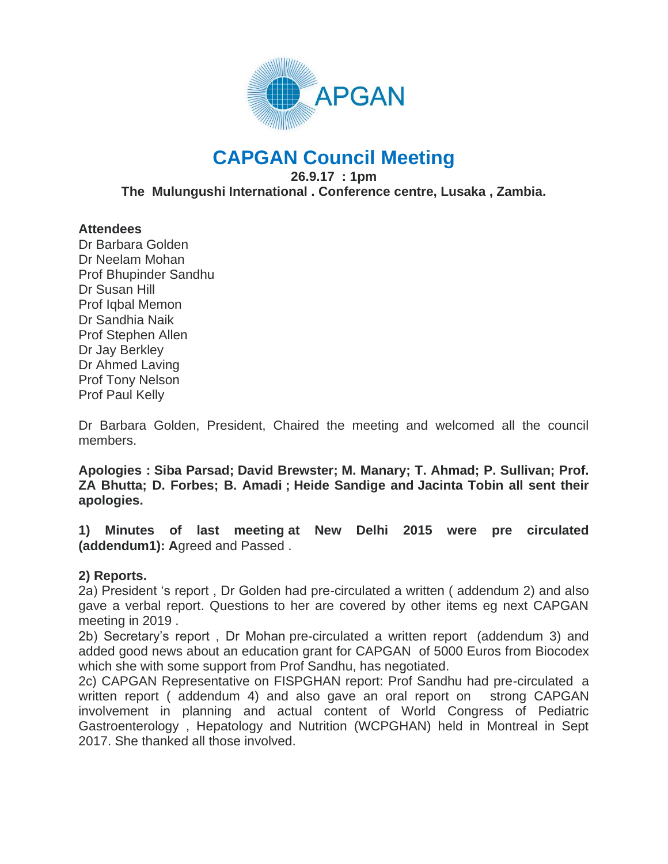

# **CAPGAN Council Meeting**

**26.9.17 : 1pm The Mulungushi International . Conference centre, Lusaka , Zambia.**

## **Attendees**

Dr Barbara Golden Dr Neelam Mohan Prof Bhupinder Sandhu Dr Susan Hill Prof Iqbal Memon Dr Sandhia Naik Prof Stephen Allen Dr Jay Berkley Dr Ahmed Laving Prof Tony Nelson Prof Paul Kelly

Dr Barbara Golden, President, Chaired the meeting and welcomed all the council members.

**Apologies : Siba Parsad; David Brewster; M. Manary; T. Ahmad; P. Sullivan; Prof. ZA Bhutta; D. Forbes; B. Amadi ; Heide Sandige and Jacinta Tobin all sent their apologies.**

**1) Minutes of last meeting at New Delhi 2015 were pre circulated (addendum1): A**greed and Passed .

#### **2) Reports.**

2a) President 's report , Dr Golden had pre-circulated a written ( addendum 2) and also gave a verbal report. Questions to her are covered by other items eg next CAPGAN meeting in 2019 .

2b) Secretary's report , Dr Mohan pre-circulated a written report (addendum 3) and added good news about an education grant for CAPGAN of 5000 Euros from Biocodex which she with some support from Prof Sandhu, has negotiated.

2c) CAPGAN Representative on FISPGHAN report: Prof Sandhu had pre-circulated a written report ( addendum 4) and also gave an oral report on strong CAPGAN involvement in planning and actual content of World Congress of Pediatric Gastroenterology , Hepatology and Nutrition (WCPGHAN) held in Montreal in Sept 2017. She thanked all those involved.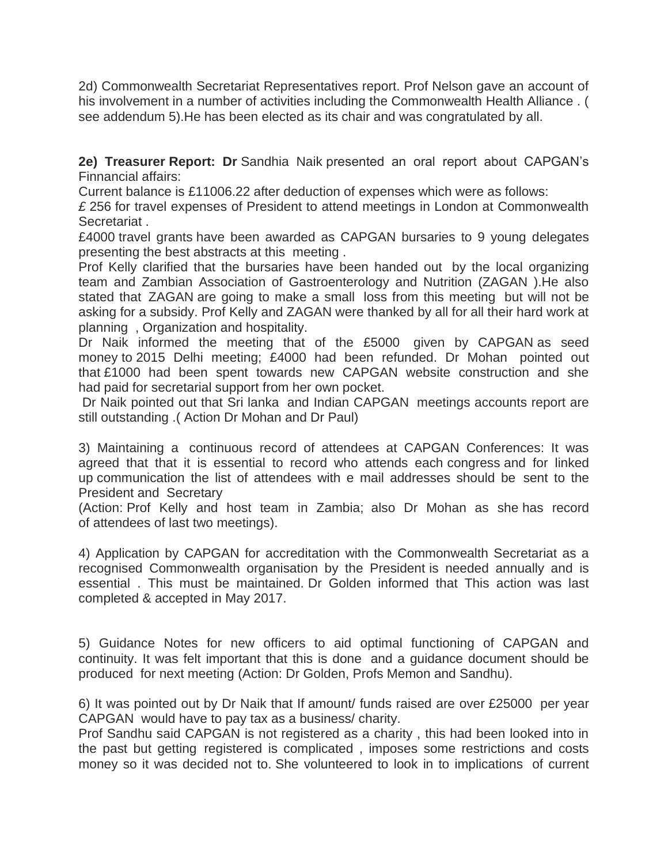2d) Commonwealth Secretariat Representatives report. Prof Nelson gave an account of his involvement in a number of activities including the Commonwealth Health Alliance . ( see addendum 5).He has been elected as its chair and was congratulated by all.

**2e) Treasurer Report: Dr** Sandhia Naik presented an oral report about CAPGAN's Finnancial affairs:

Current balance is £11006.22 after deduction of expenses which were as follows:

*£* 256 for travel expenses of President to attend meetings in London at Commonwealth Secretariat .

£4000 travel grants have been awarded as CAPGAN bursaries to 9 young delegates presenting the best abstracts at this meeting .

Prof Kelly clarified that the bursaries have been handed out by the local organizing team and Zambian Association of Gastroenterology and Nutrition (ZAGAN ).He also stated that ZAGAN are going to make a small loss from this meeting but will not be asking for a subsidy. Prof Kelly and ZAGAN were thanked by all for all their hard work at planning , Organization and hospitality.

Dr Naik informed the meeting that of the £5000 given by CAPGAN as seed money to 2015 Delhi meeting; £4000 had been refunded. Dr Mohan pointed out that £1000 had been spent towards new CAPGAN website construction and she had paid for secretarial support from her own pocket.

Dr Naik pointed out that Sri lanka and Indian CAPGAN meetings accounts report are still outstanding .( Action Dr Mohan and Dr Paul)

3) Maintaining a continuous record of attendees at CAPGAN Conferences: It was agreed that that it is essential to record who attends each congress and for linked up communication the list of attendees with e mail addresses should be sent to the President and Secretary

(Action: Prof Kelly and host team in Zambia; also Dr Mohan as she has record of attendees of last two meetings).

4) Application by CAPGAN for accreditation with the Commonwealth Secretariat as a recognised Commonwealth organisation by the President is needed annually and is essential . This must be maintained. Dr Golden informed that This action was last completed & accepted in May 2017.

5) Guidance Notes for new officers to aid optimal functioning of CAPGAN and continuity. It was felt important that this is done and a guidance document should be produced for next meeting (Action: Dr Golden, Profs Memon and Sandhu).

6) It was pointed out by Dr Naik that If amount/ funds raised are over £25000 per year CAPGAN would have to pay tax as a business/ charity.

Prof Sandhu said CAPGAN is not registered as a charity , this had been looked into in the past but getting registered is complicated , imposes some restrictions and costs money so it was decided not to. She volunteered to look in to implications of current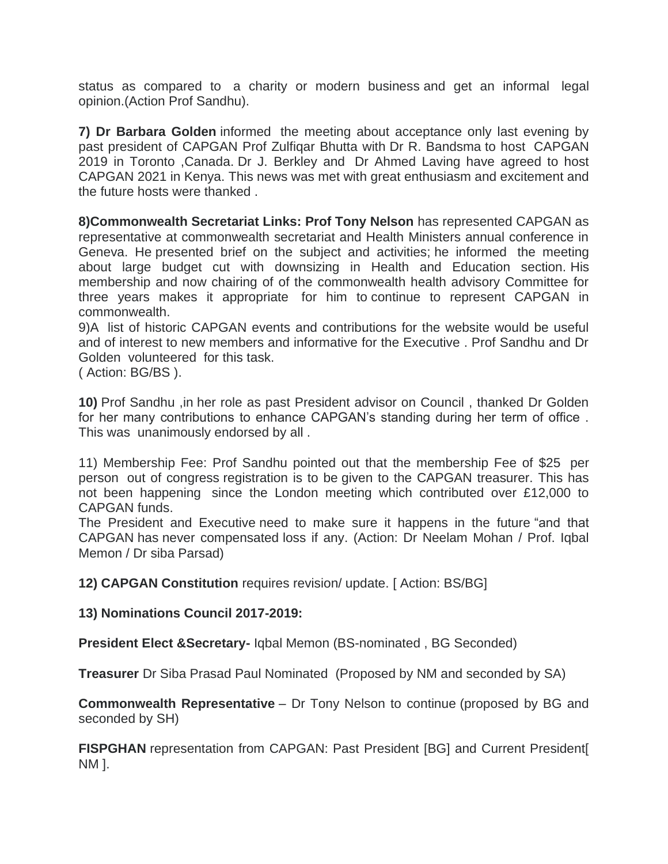status as compared to a charity or modern business and get an informal legal opinion.(Action Prof Sandhu).

**7) Dr Barbara Golden** informed the meeting about acceptance only last evening by past president of CAPGAN Prof Zulfiqar Bhutta with Dr R. Bandsma to host CAPGAN 2019 in Toronto ,Canada. Dr J. Berkley and Dr Ahmed Laving have agreed to host CAPGAN 2021 in Kenya. This news was met with great enthusiasm and excitement and the future hosts were thanked .

**8)Commonwealth Secretariat Links: Prof Tony Nelson** has represented CAPGAN as representative at commonwealth secretariat and Health Ministers annual conference in Geneva. He presented brief on the subject and activities; he informed the meeting about large budget cut with downsizing in Health and Education section. His membership and now chairing of of the commonwealth health advisory Committee for three years makes it appropriate for him to continue to represent CAPGAN in commonwealth.

9)A list of historic CAPGAN events and contributions for the website would be useful and of interest to new members and informative for the Executive . Prof Sandhu and Dr Golden volunteered for this task.

( Action: BG/BS ).

**10)** Prof Sandhu ,in her role as past President advisor on Council , thanked Dr Golden for her many contributions to enhance CAPGAN's standing during her term of office . This was unanimously endorsed by all .

11) Membership Fee: Prof Sandhu pointed out that the membership Fee of \$25 per person out of congress registration is to be given to the CAPGAN treasurer. This has not been happening since the London meeting which contributed over £12,000 to CAPGAN funds.

The President and Executive need to make sure it happens in the future "and that CAPGAN has never compensated loss if any. (Action: Dr Neelam Mohan / Prof. Iqbal Memon / Dr siba Parsad)

**12) CAPGAN Constitution** requires revision/ update. [ Action: BS/BG]

**13) Nominations Council 2017-2019:**

**President Elect &Secretary-** Iqbal Memon (BS-nominated , BG Seconded)

**Treasurer** Dr Siba Prasad Paul Nominated (Proposed by NM and seconded by SA)

**Commonwealth Representative** – Dr Tony Nelson to continue (proposed by BG and seconded by SH)

**FISPGHAN** representation from CAPGAN: Past President [BG] and Current President[ NM ].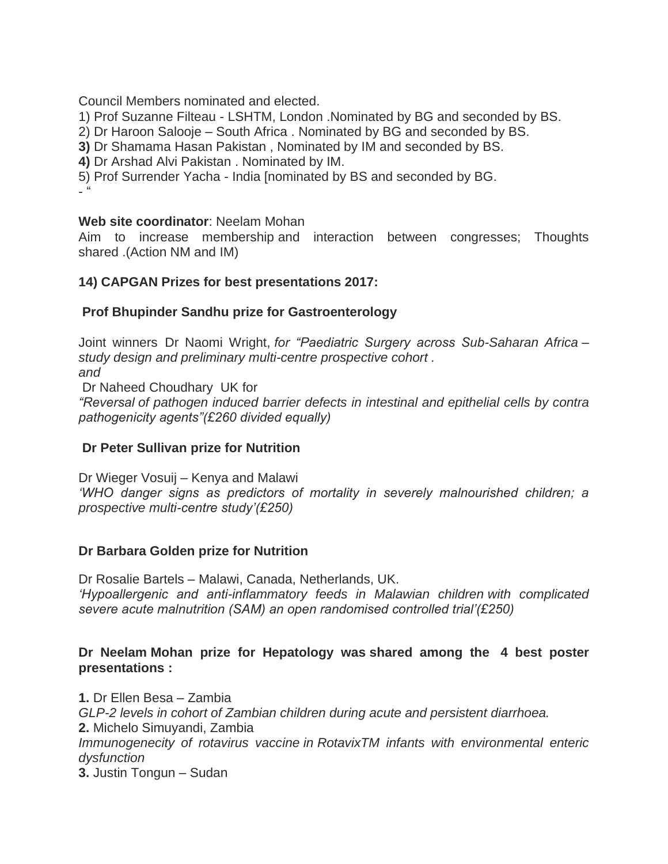Council Members nominated and elected.

1) Prof Suzanne Filteau - LSHTM, London .Nominated by BG and seconded by BS.

2) Dr Haroon Salooje – South Africa . Nominated by BG and seconded by BS.

**3)** Dr Shamama Hasan Pakistan , Nominated by IM and seconded by BS.

**4)** Dr Arshad Alvi Pakistan . Nominated by IM.

5) Prof Surrender Yacha - India [nominated by BS and seconded by BG.  $- 66$ 

#### **Web site coordinator**: Neelam Mohan

Aim to increase membership and interaction between congresses; Thoughts shared .(Action NM and IM)

#### **14) CAPGAN Prizes for best presentations 2017:**

#### **Prof Bhupinder Sandhu prize for Gastroenterology**

Joint winners Dr Naomi Wright, *for "Paediatric Surgery across Sub-Saharan Africa – study design and preliminary multi-centre prospective cohort . and* Dr Naheed Choudhary UK for *"Reversal of pathogen induced barrier defects in intestinal and epithelial cells by contra* 

*pathogenicity agents"(£260 divided equally)*

#### **Dr Peter Sullivan prize for Nutrition**

Dr Wieger Vosuij – Kenya and Malawi *'WHO danger signs as predictors of mortality in severely malnourished children; a prospective multi-centre study'(£250)*

#### **Dr Barbara Golden prize for Nutrition**

Dr Rosalie Bartels – Malawi, Canada, Netherlands, UK. *'Hypoallergenic and anti-inflammatory feeds in Malawian children with complicated severe acute malnutrition (SAM) an open randomised controlled trial'(£250)*

## **Dr Neelam Mohan prize for Hepatology was shared among the 4 best poster presentations :**

**1.** Dr Ellen Besa – Zambia *GLP-2 levels in cohort of Zambian children during acute and persistent diarrhoea.* **2.** Michelo Simuyandi, Zambia *Immunogenecity of rotavirus vaccine in RotavixTM infants with environmental enteric dysfunction* **3.** Justin Tongun – Sudan